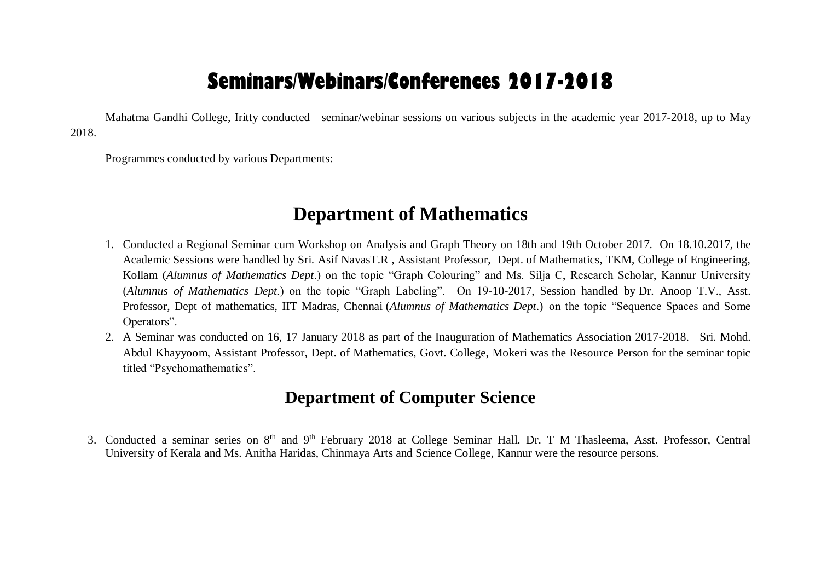# **Seminars/Webinars/Conferences 2017-2018**

Mahatma Gandhi College, Iritty conducted seminar/webinar sessions on various subjects in the academic year 2017-2018, up to May 2018.

Programmes conducted by various Departments:

## **Department of Mathematics**

- 1. Conducted a Regional Seminar cum Workshop on Analysis and Graph Theory on 18th and 19th October 2017. On 18.10.2017, the Academic Sessions were handled by Sri. Asif NavasT.R , Assistant Professor, Dept. of Mathematics, TKM, College of Engineering, Kollam (*Alumnus of Mathematics Dept*.) on the topic "Graph Colouring" and Ms. Silja C, Research Scholar, Kannur University (*Alumnus of Mathematics Dept*.) on the topic "Graph Labeling". On 19-10-2017, Session handled by Dr. Anoop T.V., Asst. Professor, Dept of mathematics, IIT Madras, Chennai (*Alumnus of Mathematics Dept*.) on the topic "Sequence Spaces and Some Operators".
- 2. A Seminar was conducted on 16, 17 January 2018 as part of the Inauguration of Mathematics Association 2017-2018. Sri. Mohd. Abdul Khayyoom, Assistant Professor, Dept. of Mathematics, Govt. College, Mokeri was the Resource Person for the seminar topic titled "Psychomathematics".

#### **Department of Computer Science**

3. Conducted a seminar series on 8<sup>th</sup> and 9<sup>th</sup> February 2018 at College Seminar Hall. Dr. T M Thasleema, Asst. Professor, Central University of Kerala and Ms. Anitha Haridas, Chinmaya Arts and Science College, Kannur were the resource persons.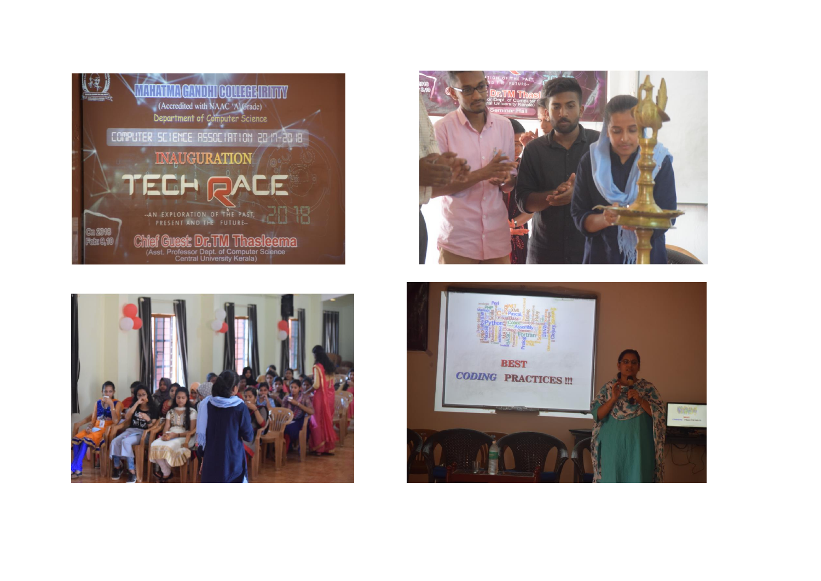





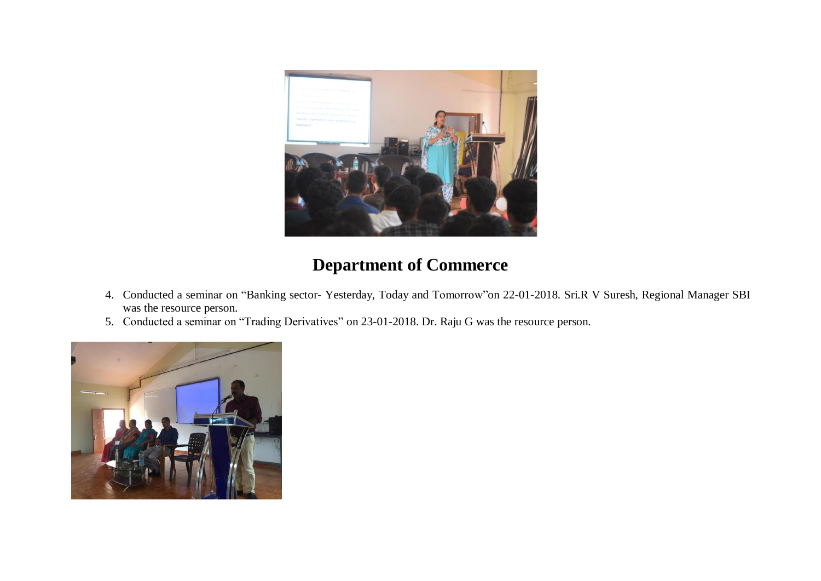

## **Department of Commerce**

- 4. Conducted a seminar on "Banking sector- Yesterday, Today and Tomorrow"on 22-01-2018. Sri.R V Suresh, Regional Manager SBI was the resource person.
- 5. Conducted a seminar on "Trading Derivatives" on 23-01-2018. Dr. Raju G was the resource person.

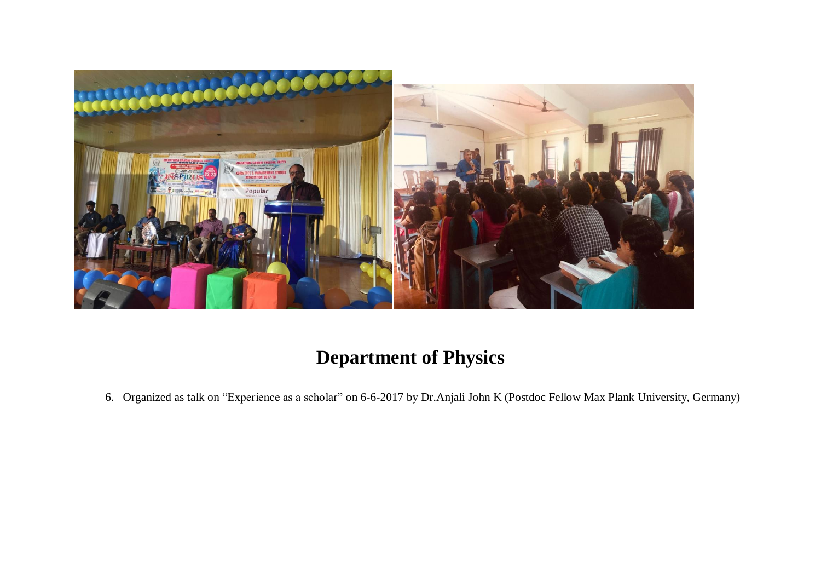

## **Department of Physics**

6. Organized as talk on "Experience as a scholar" on 6-6-2017 by Dr.Anjali John K (Postdoc Fellow Max Plank University, Germany)